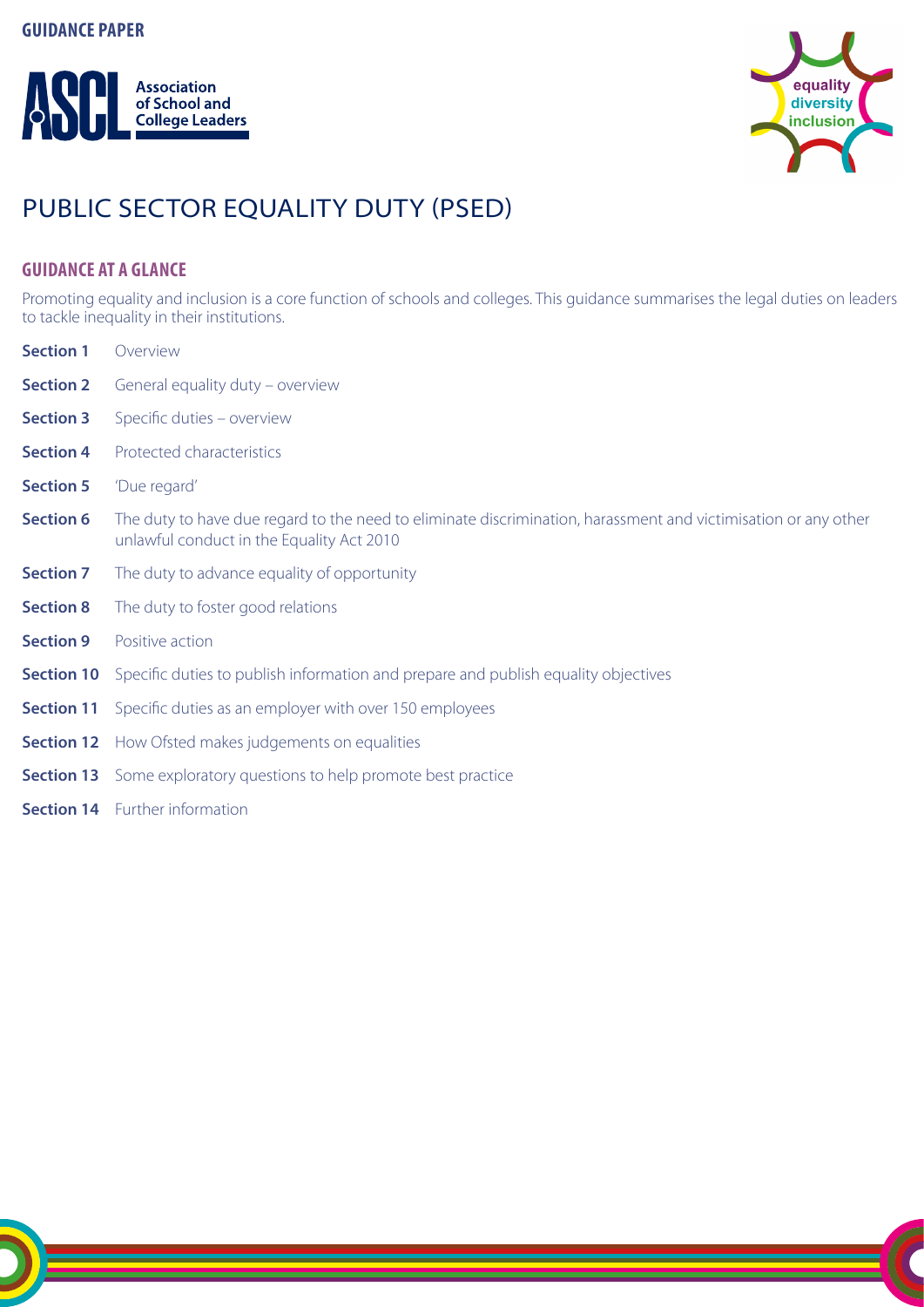# **GUIDANCE PAPER**





# PUBLIC SECTOR EQUALITY DUTY (PSED)

# **GUIDANCE AT A GLANCE**

Promoting equality and inclusion is a core function of schools and colleges. This guidance summarises the legal duties on leaders to tackle inequality in their institutions.

| Overview                                                                                                                                                    |
|-------------------------------------------------------------------------------------------------------------------------------------------------------------|
| General equality duty – overview                                                                                                                            |
| Specific duties - overview                                                                                                                                  |
| Protected characteristics                                                                                                                                   |
| 'Due regard'                                                                                                                                                |
| The duty to have due regard to the need to eliminate discrimination, harassment and victimisation or any other<br>unlawful conduct in the Equality Act 2010 |
| The duty to advance equality of opportunity                                                                                                                 |
| The duty to foster good relations                                                                                                                           |
| Positive action                                                                                                                                             |
| <b>Section 10</b> Specific duties to publish information and prepare and publish equality objectives                                                        |
| <b>Section 11</b> Specific duties as an employer with over 150 employees                                                                                    |
| <b>Section 12</b> How Ofsted makes judgements on equalities                                                                                                 |
|                                                                                                                                                             |

- **Section 13** Some exploratory questions to help promote best practice
- **Section 14** Further information

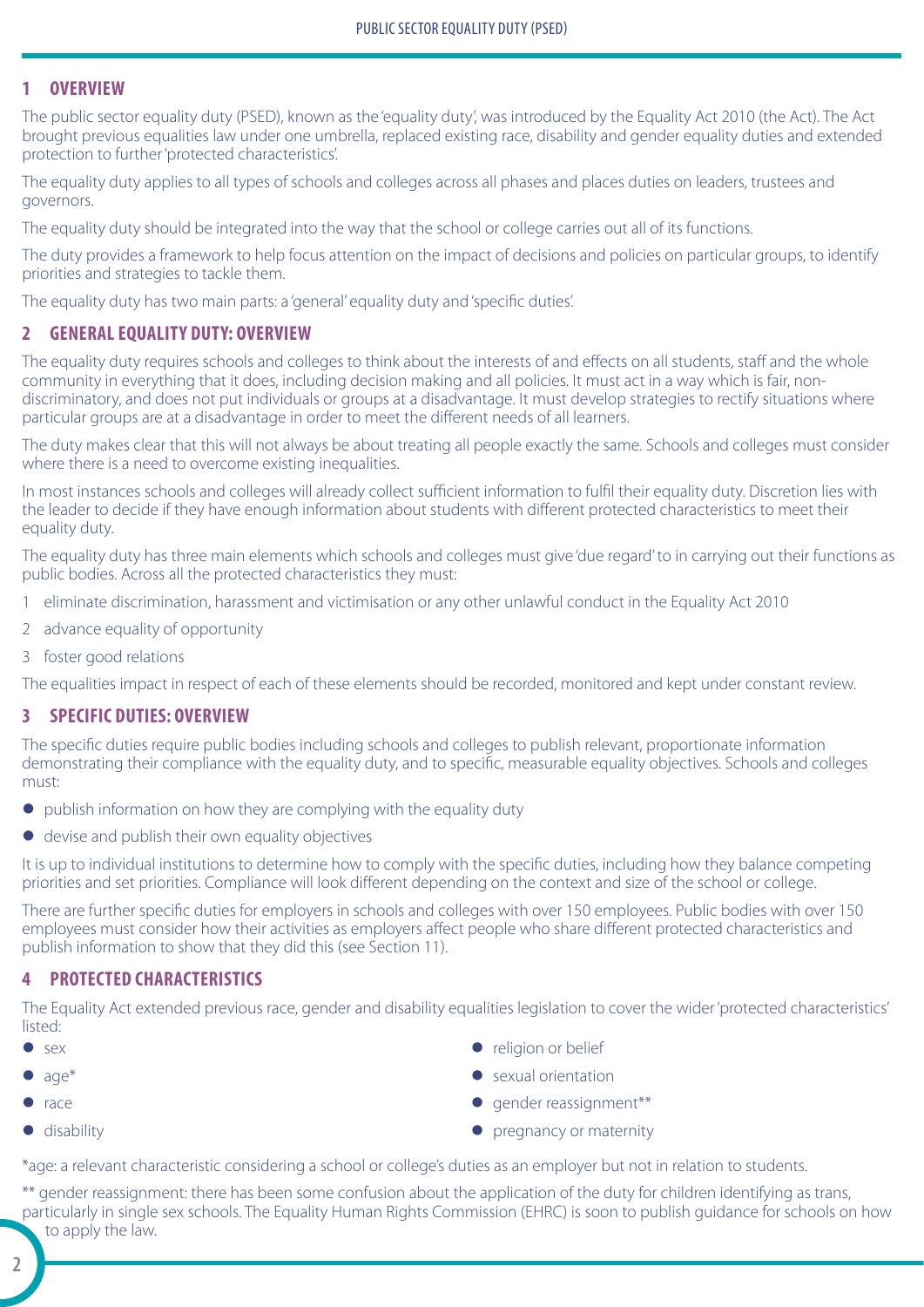## **1 OVERVIEW**

The public sector equality duty (PSED), known as the 'equality duty', was introduced by the Equality Act 2010 (the Act). The Act brought previous equalities law under one umbrella, replaced existing race, disability and gender equality duties and extended protection to further 'protected characteristics'.

The equality duty applies to all types of schools and colleges across all phases and places duties on leaders, trustees and governors.

The equality duty should be integrated into the way that the school or college carries out all of its functions.

The duty provides a framework to help focus attention on the impact of decisions and policies on particular groups, to identify priorities and strategies to tackle them.

The equality duty has two main parts: a 'general' equality duty and 'specific duties'.

## **2 GENERAL EQUALITY DUTY: OVERVIEW**

The equality duty requires schools and colleges to think about the interests of and effects on all students, staff and the whole community in everything that it does, including decision making and all policies. It must act in a way which is fair, nondiscriminatory, and does not put individuals or groups at a disadvantage. It must develop strategies to rectify situations where particular groups are at a disadvantage in order to meet the different needs of all learners.

The duty makes clear that this will not always be about treating all people exactly the same. Schools and colleges must consider where there is a need to overcome existing inequalities.

In most instances schools and colleges will already collect sufficient information to fulfil their equality duty. Discretion lies with the leader to decide if they have enough information about students with different protected characteristics to meet their equality duty.

The equality duty has three main elements which schools and colleges must give 'due regard' to in carrying out their functions as public bodies. Across all the protected characteristics they must:

- 1 eliminate discrimination, harassment and victimisation or any other unlawful conduct in the Equality Act 2010
- 2 advance equality of opportunity
- 3 foster good relations

The equalities impact in respect of each of these elements should be recorded, monitored and kept under constant review.

### **3 SPECIFIC DUTIES: OVERVIEW**

The specific duties require public bodies including schools and colleges to publish relevant, proportionate information demonstrating their compliance with the equality duty, and to specific, measurable equality objectives. Schools and colleges must:

- $\bullet$  publish information on how they are complying with the equality duty
- $\bullet$  devise and publish their own equality objectives

It is up to individual institutions to determine how to comply with the specific duties, including how they balance competing priorities and set priorities. Compliance will look different depending on the context and size of the school or college.

There are further specific duties for employers in schools and colleges with over 150 employees. Public bodies with over 150 employees must consider how their activities as employers affect people who share different protected characteristics and publish information to show that they did this (see Section 11).

### **4 PROTECTED CHARACTERISTICS**

The Equality Act extended previous race, gender and disability equalities legislation to cover the wider 'protected characteristics' listed:

- $\bullet$  sex
- $\bullet$  age\*
- $\bullet$  race
- $\bullet$  disability
- religion or belief
- sexual orientation
- $\bullet$  gender reassignment\*\*
- $\bullet$  pregnancy or maternity

\*age: a relevant characteristic considering a school or college's duties as an employer but not in relation to students.

\*\* gender reassignment: there has been some confusion about the application of the duty for children identifying as trans, particularly in single sex schools. The Equality Human Rights Commission (EHRC) is soon to publish guidance for schools on how to apply the law.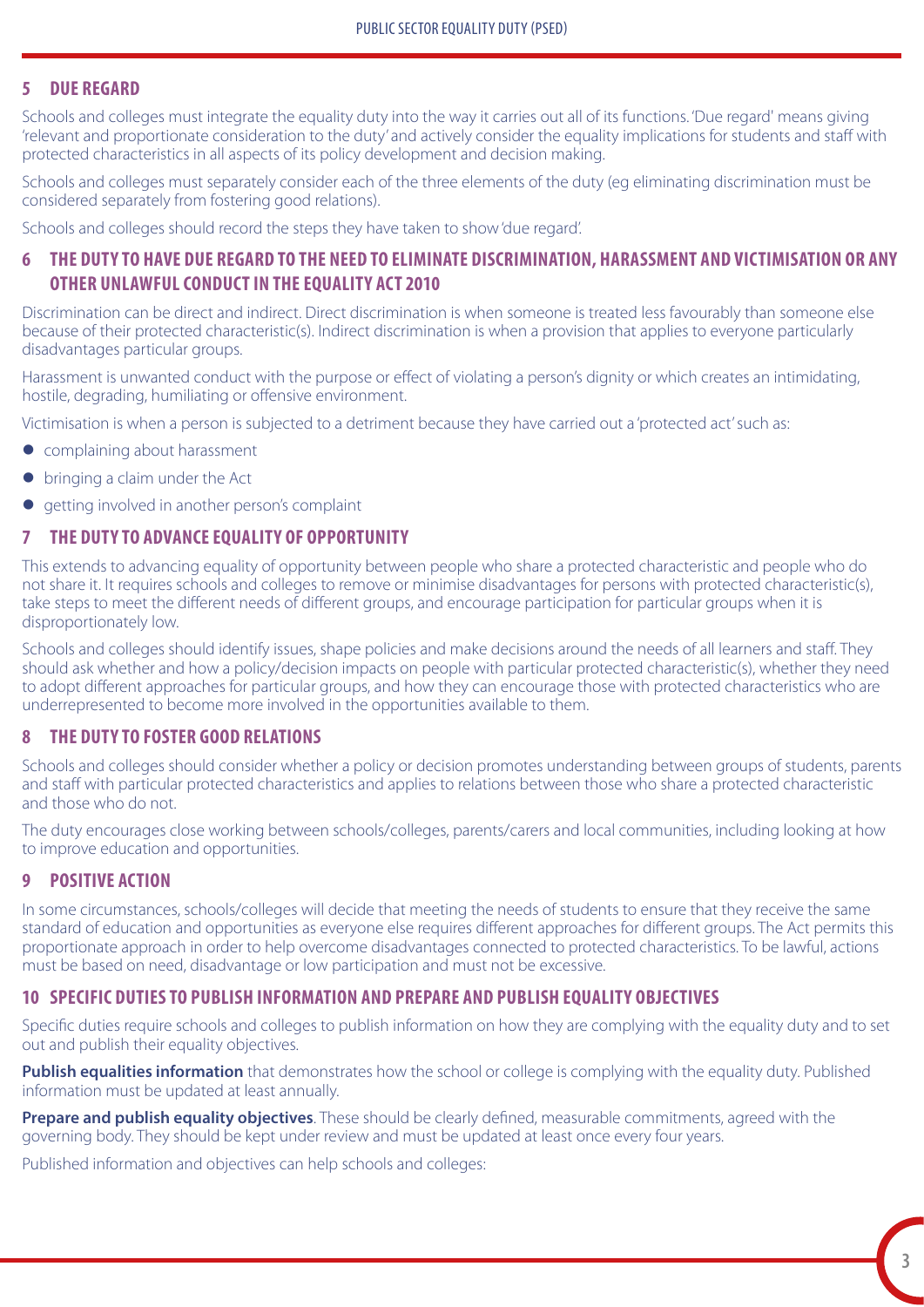### **5 DUE REGARD**

Schools and colleges must integrate the equality duty into the way it carries out all of its functions. 'Due regard' means giving 'relevant and proportionate consideration to the duty' and actively consider the equality implications for students and staff with protected characteristics in all aspects of its policy development and decision making.

Schools and colleges must separately consider each of the three elements of the duty (eg eliminating discrimination must be considered separately from fostering good relations).

Schools and colleges should record the steps they have taken to show 'due regard'.

## **6 THE DUTY TO HAVE DUE REGARD TO THE NEED TO ELIMINATE DISCRIMINATION, HARASSMENT AND VICTIMISATION OR ANY OTHER UNLAWFUL CONDUCT IN THE EQUALITY ACT 2010**

Discrimination can be direct and indirect. Direct discrimination is when someone is treated less favourably than someone else because of their protected characteristic(s). Indirect discrimination is when a provision that applies to everyone particularly disadvantages particular groups.

Harassment is unwanted conduct with the purpose or effect of violating a person's dignity or which creates an intimidating, hostile, degrading, humiliating or offensive environment.

Victimisation is when a person is subjected to a detriment because they have carried out a 'protected act' such as:

- complaining about harassment
- $\bullet$  bringing a claim under the Act
- $\bullet$  getting involved in another person's complaint

#### **7 THE DUTY TO ADVANCE EQUALITY OF OPPORTUNITY**

This extends to advancing equality of opportunity between people who share a protected characteristic and people who do not share it. It requires schools and colleges to remove or minimise disadvantages for persons with protected characteristic(s), take steps to meet the different needs of different groups, and encourage participation for particular groups when it is disproportionately low.

Schools and colleges should identify issues, shape policies and make decisions around the needs of all learners and staff. They should ask whether and how a policy/decision impacts on people with particular protected characteristic(s), whether they need to adopt different approaches for particular groups, and how they can encourage those with protected characteristics who are underrepresented to become more involved in the opportunities available to them.

#### **8 THE DUTY TO FOSTER GOOD RELATIONS**

Schools and colleges should consider whether a policy or decision promotes understanding between groups of students, parents and staff with particular protected characteristics and applies to relations between those who share a protected characteristic and those who do not.

The duty encourages close working between schools/colleges, parents/carers and local communities, including looking at how to improve education and opportunities.

## **9 POSITIVE ACTION**

In some circumstances, schools/colleges will decide that meeting the needs of students to ensure that they receive the same standard of education and opportunities as everyone else requires different approaches for different groups. The Act permits this proportionate approach in order to help overcome disadvantages connected to protected characteristics. To be lawful, actions must be based on need, disadvantage or low participation and must not be excessive.

### **10 SPECIFIC DUTIES TO PUBLISH INFORMATION AND PREPARE AND PUBLISH EQUALITY OBJECTIVES**

Specific duties require schools and colleges to publish information on how they are complying with the equality duty and to set out and publish their equality objectives.

**Publish equalities information** that demonstrates how the school or college is complying with the equality duty. Published information must be updated at least annually.

**Prepare and publish equality objectives**. These should be clearly defined, measurable commitments, agreed with the governing body. They should be kept under review and must be updated at least once every four years.

Published information and objectives can help schools and colleges: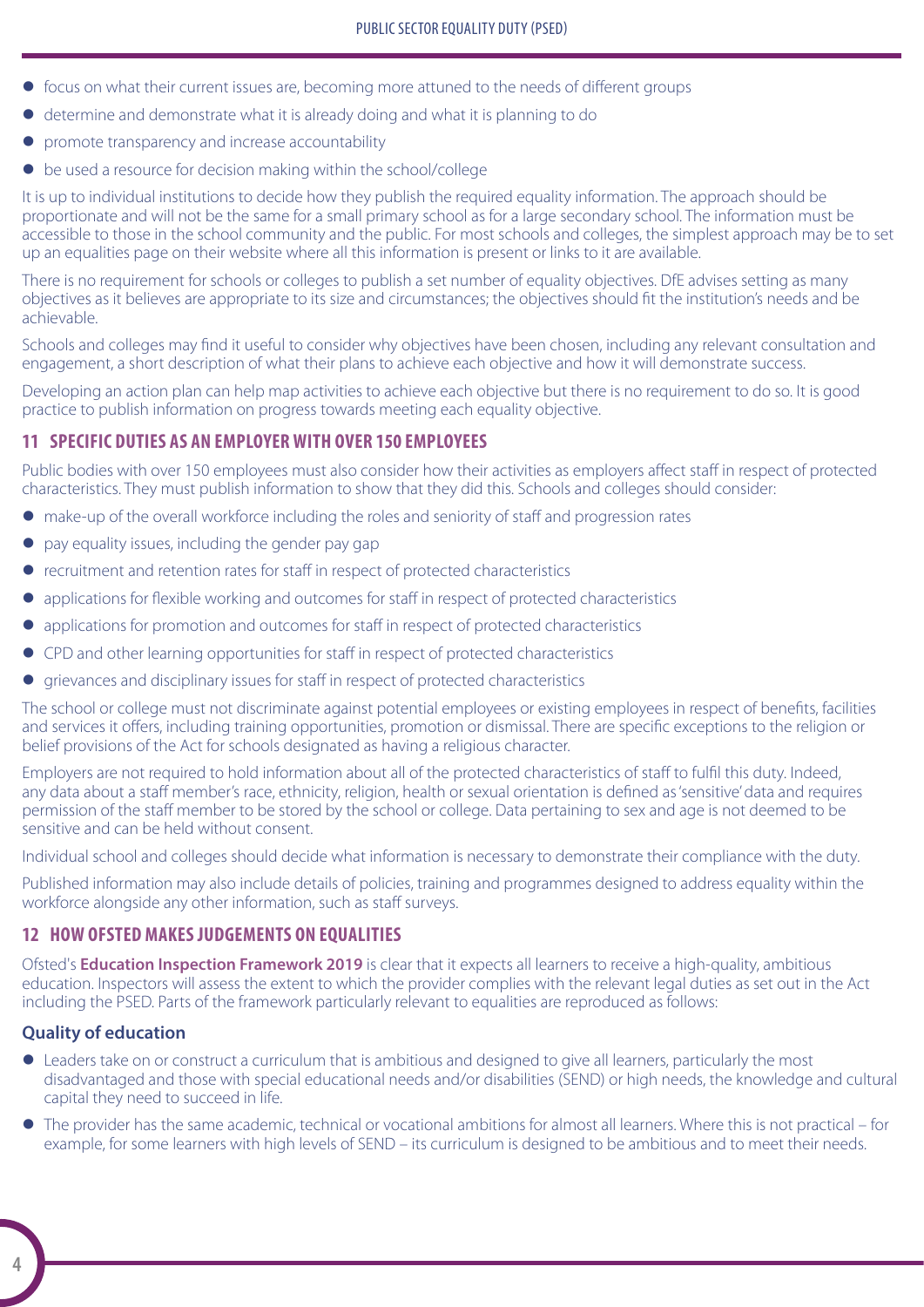- $\bullet$  focus on what their current issues are, becoming more attuned to the needs of different groups
- z determine and demonstrate what it is already doing and what it is planning to do
- promote transparency and increase accountability
- $\bullet$  be used a resource for decision making within the school/college

It is up to individual institutions to decide how they publish the required equality information. The approach should be proportionate and will not be the same for a small primary school as for a large secondary school. The information must be accessible to those in the school community and the public. For most schools and colleges, the simplest approach may be to set up an equalities page on their website where all this information is present or links to it are available.

There is no requirement for schools or colleges to publish a set number of equality objectives. DfE advises setting as many objectives as it believes are appropriate to its size and circumstances; the objectives should fit the institution's needs and be achievable.

Schools and colleges may find it useful to consider why objectives have been chosen, including any relevant consultation and engagement, a short description of what their plans to achieve each objective and how it will demonstrate success.

Developing an action plan can help map activities to achieve each objective but there is no requirement to do so. It is good practice to publish information on progress towards meeting each equality objective.

# **11 SPECIFIC DUTIES AS AN EMPLOYER WITH OVER 150 EMPLOYEES**

Public bodies with over 150 employees must also consider how their activities as employers affect staff in respect of protected characteristics. They must publish information to show that they did this. Schools and colleges should consider:

- make-up of the overall workforce including the roles and seniority of staff and progression rates
- $\bullet$  pay equality issues, including the gender pay gap
- $\bullet$  recruitment and retention rates for staff in respect of protected characteristics
- applications for flexible working and outcomes for staff in respect of protected characteristics
- applications for promotion and outcomes for staff in respect of protected characteristics
- CPD and other learning opportunities for staff in respect of protected characteristics
- grievances and disciplinary issues for staff in respect of protected characteristics

The school or college must not discriminate against potential employees or existing employees in respect of benefits, facilities and services it offers, including training opportunities, promotion or dismissal. There are specific exceptions to the religion or belief provisions of the Act for schools designated as having a religious character.

Employers are not required to hold information about all of the protected characteristics of staff to fulfil this duty. Indeed, any data about a staff member's race, ethnicity, religion, health or sexual orientation is defined as 'sensitive' data and requires permission of the staff member to be stored by the school or college. Data pertaining to sex and age is not deemed to be sensitive and can be held without consent.

Individual school and colleges should decide what information is necessary to demonstrate their compliance with the duty.

Published information may also include details of policies, training and programmes designed to address equality within the workforce alongside any other information, such as staff surveys.

## **12 HOW OFSTED MAKES JUDGEMENTS ON EQUALITIES**

Ofsted's **[Education Inspection Framework 2019](https://www.gov.uk/government/publications/education-inspection-framework)** is clear that it expects all learners to receive a high-quality, ambitious education. Inspectors will assess the extent to which the provider complies with the relevant legal duties as set out in the Act including the PSED. Parts of the framework particularly relevant to equalities are reproduced as follows:

## **Quality of education**

- Leaders take on or construct a curriculum that is ambitious and designed to give all learners, particularly the most disadvantaged and those with special educational needs and/or disabilities (SEND) or high needs, the knowledge and cultural capital they need to succeed in life.
- The provider has the same academic, technical or vocational ambitions for almost all learners. Where this is not practical for example, for some learners with high levels of SEND – its curriculum is designed to be ambitious and to meet their needs.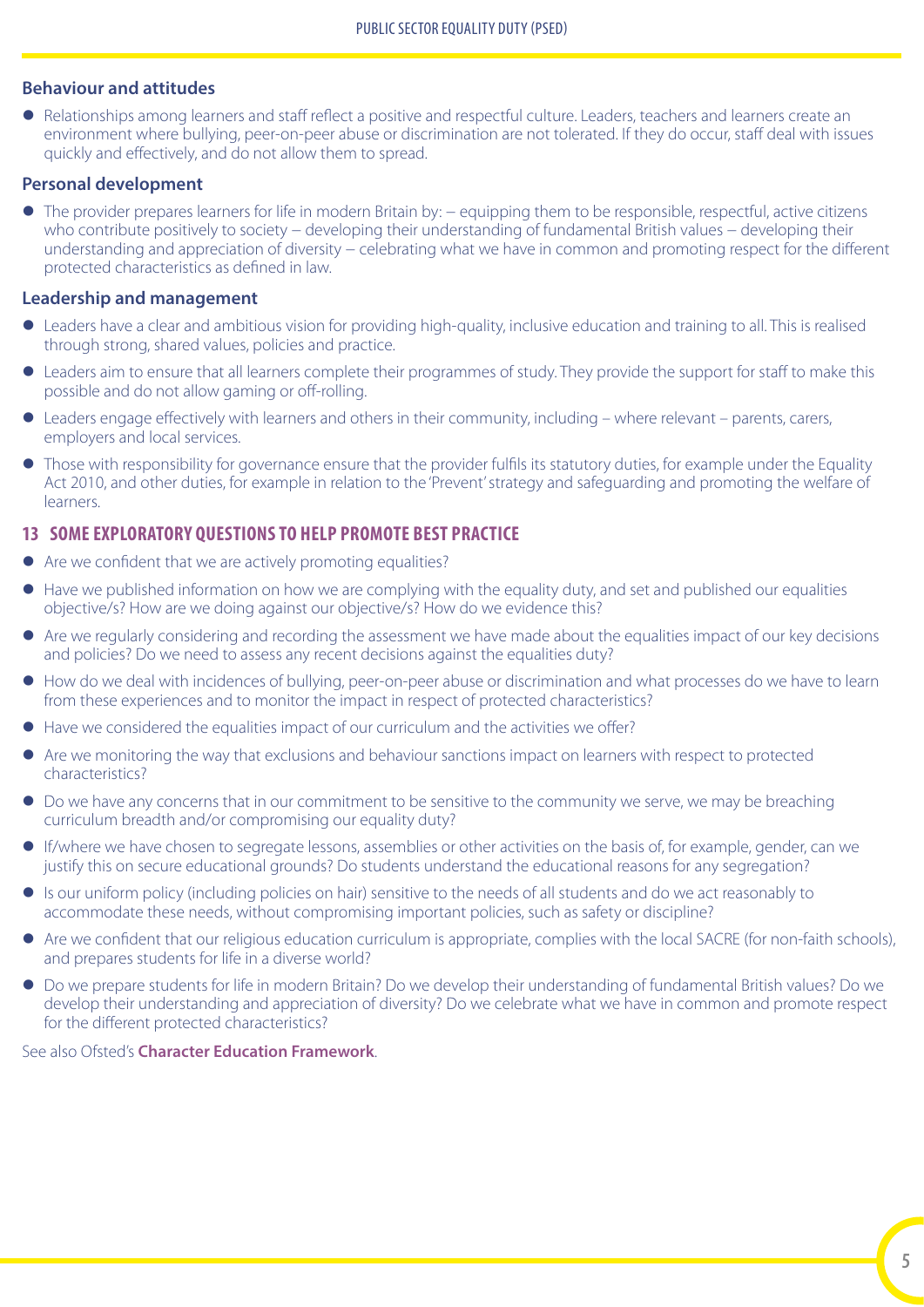#### **Behaviour and attitudes**

• Relationships among learners and staff reflect a positive and respectful culture. Leaders, teachers and learners create an environment where bullying, peer-on-peer abuse or discrimination are not tolerated. If they do occur, staff deal with issues quickly and effectively, and do not allow them to spread.

#### **Personal development**

The provider prepares learners for life in modern Britain by: – equipping them to be responsible, respectful, active citizens who contribute positively to society − developing their understanding of fundamental British values − developing their understanding and appreciation of diversity – celebrating what we have in common and promoting respect for the different protected characteristics as defined in law.

### **Leadership and management**

- Leaders have a clear and ambitious vision for providing high-quality, inclusive education and training to all. This is realised through strong, shared values, policies and practice.
- Leaders aim to ensure that all learners complete their programmes of study. They provide the support for staff to make this possible and do not allow gaming or off-rolling.
- $\bullet$  Leaders engage effectively with learners and others in their community, including where relevant parents, carers, employers and local services.
- Those with responsibility for governance ensure that the provider fulfils its statutory duties, for example under the Equality Act 2010, and other duties, for example in relation to the 'Prevent' strategy and safeguarding and promoting the welfare of learners.

## **13 SOME EXPLORATORY QUESTIONS TO HELP PROMOTE BEST PRACTICE**

- $\bullet$  Are we confident that we are actively promoting equalities?
- Have we published information on how we are complying with the equality duty, and set and published our equalities objective/s? How are we doing against our objective/s? How do we evidence this?
- Are we regularly considering and recording the assessment we have made about the equalities impact of our key decisions and policies? Do we need to assess any recent decisions against the equalities duty?
- $\bullet$  How do we deal with incidences of bullying, peer-on-peer abuse or discrimination and what processes do we have to learn from these experiences and to monitor the impact in respect of protected characteristics?
- $\bullet$  Have we considered the equalities impact of our curriculum and the activities we offer?
- $\bullet$  Are we monitoring the way that exclusions and behaviour sanctions impact on learners with respect to protected characteristics?
- $\bullet$  Do we have any concerns that in our commitment to be sensitive to the community we serve, we may be breaching curriculum breadth and/or compromising our equality duty?
- If/where we have chosen to segregate lessons, assemblies or other activities on the basis of, for example, gender, can we justify this on secure educational grounds? Do students understand the educational reasons for any segregation?
- z Is our uniform policy (including policies on hair) sensitive to the needs of all students and do we act reasonably to accommodate these needs, without compromising important policies, such as safety or discipline?
- Are we confident that our religious education curriculum is appropriate, complies with the local SACRE (for non-faith schools), and prepares students for life in a diverse world?
- z Do we prepare students for life in modern Britain? Do we develop their understanding of fundamental British values? Do we develop their understanding and appreciation of diversity? Do we celebrate what we have in common and promote respect for the different protected characteristics?

See also Ofsted's **[Character Education Framework](https://www.gov.uk/government/publications/character-education-framework)**.